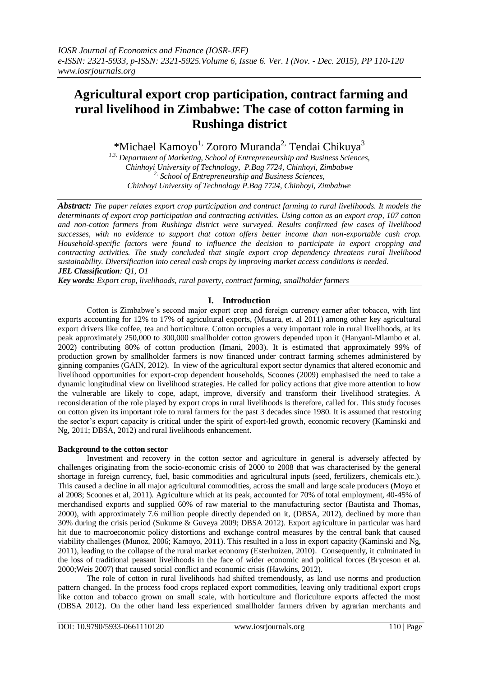# **Agricultural export crop participation, contract farming and rural livelihood in Zimbabwe: The case of cotton farming in Rushinga district**

\*Michael Kamoyo<sup>1,</sup> Zororo Muranda<sup>2,</sup> Tendai Chikuya<sup>3</sup>

*1,3, Department of Marketing, School of Entrepreneurship and Business Sciences, Chinhoyi University of Technology, P.Bag 7724, Chinhoyi, Zimbabwe 2, School of Entrepreneurship and Business Sciences, Chinhoyi University of Technology P.Bag 7724, Chinhoyi, Zimbabwe*

*Abstract: The paper relates export crop participation and contract farming to rural livelihoods. It models the determinants of export crop participation and contracting activities. Using cotton as an export crop, 107 cotton and non-cotton farmers from Rushinga district were surveyed. Results confirmed few cases of livelihood successes, with no evidence to support that cotton offers better income than non-exportable cash crop. Household-specific factors were found to influence the decision to participate in export cropping and contracting activities. The study concluded that single export crop dependency threatens rural livelihood sustainability. Diversification into cereal cash crops by improving market access conditions is needed. JEL Classification: Q1, O1*

*Key words: Export crop, livelihoods, rural poverty, contract farming, smallholder farmers*

# **I. Introduction**

Cotton is Zimbabwe"s second major export crop and foreign currency earner after tobacco, with lint exports accounting for 12% to 17% of agricultural exports, (Musara, et. al 2011) among other key agricultural export drivers like coffee, tea and horticulture. Cotton occupies a very important role in rural livelihoods, at its peak approximately 250,000 to 300,000 smallholder cotton growers depended upon it (Hanyani-Mlambo et al. 2002) contributing 80% of cotton production (Imani, 2003). It is estimated that approximately 99% of production grown by smallholder farmers is now financed under contract farming schemes administered by ginning companies (GAIN, 2012). In view of the agricultural export sector dynamics that altered economic and livelihood opportunities for export-crop dependent households, Scoones (2009) emphasised the need to take a dynamic longitudinal view on livelihood strategies. He called for policy actions that give more attention to how the vulnerable are likely to cope, adapt, improve, diversify and transform their livelihood strategies. A reconsideration of the role played by export crops in rural livelihoods is therefore, called for. This study focuses on cotton given its important role to rural farmers for the past 3 decades since 1980. It is assumed that restoring the sector"s export capacity is critical under the spirit of export-led growth, economic recovery (Kaminski and Ng, 2011; DBSA, 2012) and rural livelihoods enhancement.

# **Background to the cotton sector**

Investment and recovery in the cotton sector and agriculture in general is adversely affected by challenges originating from the socio-economic crisis of 2000 to 2008 that was characterised by the general shortage in foreign currency, fuel, basic commodities and agricultural inputs (seed, fertilizers, chemicals etc.). This caused a decline in all major agricultural commodities, across the small and large scale producers (Moyo et al 2008; Scoones et al, 2011). Agriculture which at its peak, accounted for 70% of total employment, 40-45% of merchandised exports and supplied 60% of raw material to the manufacturing sector (Bautista and Thomas, 2000), with approximately 7.6 million people directly depended on it, (DBSA, 2012), declined by more than 30% during the crisis period (Sukume & Guveya 2009; DBSA 2012). Export agriculture in particular was hard hit due to macroeconomic policy distortions and exchange control measures by the central bank that caused viability challenges (Munoz, 2006; Kamoyo, 2011). This resulted in a loss in export capacity (Kaminski and Ng, 2011), leading to the collapse of the rural market economy (Esterhuizen, 2010). Consequently, it culminated in the loss of traditional peasant livelihoods in the face of wider economic and political forces (Bryceson et al. 2000;Weis 2007) that caused social conflict and economic crisis (Hawkins, 2012).

The role of cotton in rural livelihoods had shifted tremendously, as land use norms and production pattern changed. In the process food crops replaced export commodities, leaving only traditional export crops like cotton and tobacco grown on small scale, with horticulture and floriculture exports affected the most (DBSA 2012). On the other hand less experienced smallholder farmers driven by agrarian merchants and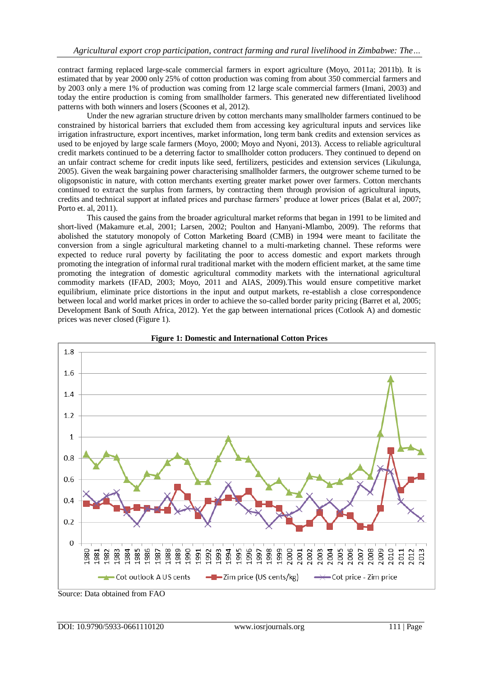contract farming replaced large-scale commercial farmers in export agriculture (Moyo, 2011a; 2011b). It is estimated that by year 2000 only 25% of cotton production was coming from about 350 commercial farmers and by 2003 only a mere 1% of production was coming from 12 large scale commercial farmers (Imani, 2003) and today the entire production is coming from smallholder farmers. This generated new differentiated livelihood patterns with both winners and losers (Scoones et al, 2012).

Under the new agrarian structure driven by cotton merchants many smallholder farmers continued to be constrained by historical barriers that excluded them from accessing key agricultural inputs and services like irrigation infrastructure, export incentives, market information, long term bank credits and extension services as used to be enjoyed by large scale farmers (Moyo, 2000; Moyo and Nyoni, 2013). Access to reliable agricultural credit markets continued to be a deterring factor to smallholder cotton producers. They continued to depend on an unfair contract scheme for credit inputs like seed, fertilizers, pesticides and extension services (Likulunga, 2005). Given the weak bargaining power characterising smallholder farmers, the outgrower scheme turned to be oligopsonistic in nature, with cotton merchants exerting greater market power over farmers. Cotton merchants continued to extract the surplus from farmers, by contracting them through provision of agricultural inputs, credits and technical support at inflated prices and purchase farmers" produce at lower prices (Balat et al, 2007; Porto et. al, 2011).

This caused the gains from the broader agricultural market reforms that began in 1991 to be limited and short-lived (Makamure et.al, 2001; Larsen, 2002; Poulton and Hanyani-Mlambo, 2009). The reforms that abolished the statutory monopoly of Cotton Marketing Board (CMB) in 1994 were meant to facilitate the conversion from a single agricultural marketing channel to a multi-marketing channel. These reforms were expected to reduce rural poverty by facilitating the poor to access domestic and export markets through promoting the integration of informal rural traditional market with the modern efficient market, at the same time promoting the integration of domestic agricultural commodity markets with the international agricultural commodity markets (IFAD, 2003; Moyo, 2011 and AIAS, 2009).This would ensure competitive market equilibrium, eliminate price distortions in the input and output markets, re-establish a close correspondence between local and world market prices in order to achieve the so-called border parity pricing (Barret et al, 2005; Development Bank of South Africa, 2012). Yet the gap between international prices (Cotlook A) and domestic prices was never closed (Figure 1).



**Figure 1: Domestic and International Cotton Prices**

Source: Data obtained from FAO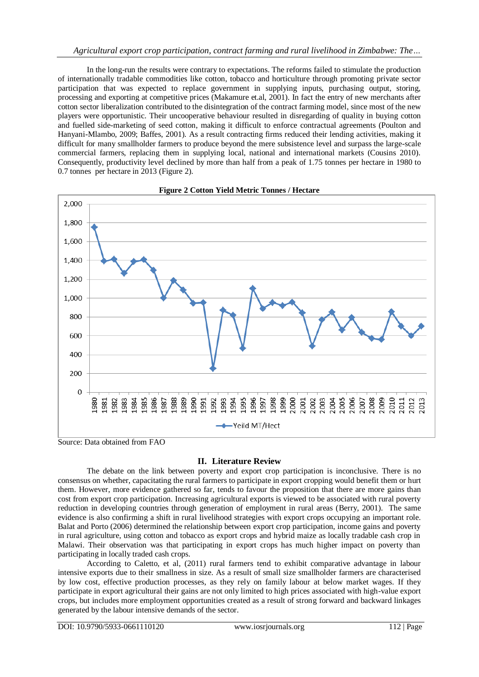In the long-run the results were contrary to expectations. The reforms failed to stimulate the production of internationally tradable commodities like cotton, tobacco and horticulture through promoting private sector participation that was expected to replace government in supplying inputs, purchasing output, storing, processing and exporting at competitive prices (Makamure et.al, 2001). In fact the entry of new merchants after cotton sector liberalization contributed to the disintegration of the contract farming model, since most of the new players were opportunistic. Their uncooperative behaviour resulted in disregarding of quality in buying cotton and fuelled side-marketing of seed cotton, making it difficult to enforce contractual agreements (Poulton and Hanyani-Mlambo, 2009; Baffes, 2001). As a result contracting firms reduced their lending activities, making it difficult for many smallholder farmers to produce beyond the mere subsistence level and surpass the large-scale commercial farmers, replacing them in supplying local, national and international markets (Cousins 2010). Consequently, productivity level declined by more than half from a peak of 1.75 tonnes per hectare in 1980 to 0.7 tonnes per hectare in 2013 (Figure 2).





Source: Data obtained from FAO

# **II. Literature Review**

The debate on the link between poverty and export crop participation is inconclusive. There is no consensus on whether, capacitating the rural farmers to participate in export cropping would benefit them or hurt them. However, more evidence gathered so far, tends to favour the proposition that there are more gains than cost from export crop participation. Increasing agricultural exports is viewed to be associated with rural poverty reduction in developing countries through generation of employment in rural areas (Berry, 2001). The same evidence is also confirming a shift in rural livelihood strategies with export crops occupying an important role. Balat and Porto (2006) determined the relationship between export crop participation, income gains and poverty in rural agriculture, using cotton and tobacco as export crops and hybrid maize as locally tradable cash crop in Malawi. Their observation was that participating in export crops has much higher impact on poverty than participating in locally traded cash crops.

According to Caletto, et al, (2011) rural farmers tend to exhibit comparative advantage in labour intensive exports due to their smallness in size. As a result of small size smallholder farmers are characterised by low cost, effective production processes, as they rely on family labour at below market wages. If they participate in export agricultural their gains are not only limited to high prices associated with high-value export crops, but includes more employment opportunities created as a result of strong forward and backward linkages generated by the labour intensive demands of the sector.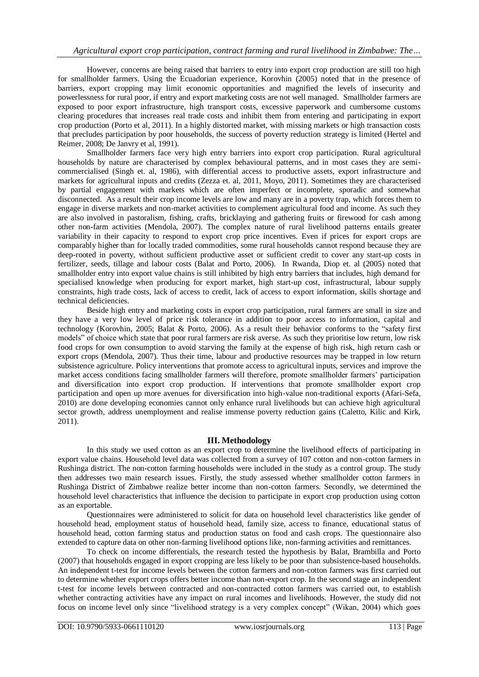However, concerns are being raised that barriers to entry into export crop production are still too high for smallholder farmers. Using the Ecuadorian experience, Korovhin (2005) noted that in the presence of barriers, export cropping may limit economic opportunities and magnified the levels of insecurity and powerlessness for rural poor, if entry and export marketing costs are not well managed. Smallholder farmers are exposed to poor export infrastructure, high transport costs, excessive paperwork and cumbersome customs clearing procedures that increases real trade costs and inhibit them from entering and participating in export crop production (Porto et al, 2011). In a highly distorted market, with missing markets or high transaction costs that precludes participation by poor households, the success of poverty reduction strategy is limited (Hertel and Reimer, 2008; De Janvry et al, 1991).

Smallholder farmers face very high entry barriers into export crop participation. Rural agricultural households by nature are characterised by complex behavioural patterns, and in most cases they are semicommercialised (Singh et. al, 1986), with differential access to productive assets, export infrastructure and markets for agricultural inputs and credits (Zezza et. al, 2011, Moyo, 2011). Sometimes they are characterised by partial engagement with markets which are often imperfect or incomplete, sporadic and somewhat disconnected. As a result their crop income levels are low and many are in a poverty trap, which forces them to engage in diverse markets and non-market activities to complement agricultural food and income. As such they are also involved in pastoralism, fishing, crafts, bricklaying and gathering fruits or firewood for cash among other non-farm activities (Mendola, 2007). The complex nature of rural livelihood patterns entails greater variability in their capacity to respond to export crop price incentives. Even if prices for export crops are comparably higher than for locally traded commodities, some rural households cannot respond because they are deep-rooted in poverty, without sufficient productive asset or sufficient credit to cover any start-up costs in fertilizer, seeds, tillage and labour costs (Balat and Porto, 2006). In Rwanda, Diop et. al (2005) noted that smallholder entry into export value chains is still inhibited by high entry barriers that includes, high demand for specialised knowledge when producing for export market, high start-up cost, infrastructural, labour supply constraints, high trade costs, lack of access to credit, lack of access to export information, skills shortage and technical deficiencies.

Beside high entry and marketing costs in export crop participation, rural farmers are small in size and they have a very low level of price risk tolerance in addition to poor access to information, capital and technology (Korovhin, 2005; Balat & Porto, 2006). As a result their behavior conforms to the "safety first models" of choice which state that poor rural farmers are risk averse. As such they prioritise low return, low risk food crops for own consumption to avoid starving the family at the expense of high risk, high return cash or export crops (Mendola, 2007). Thus their time, labour and productive resources may be trapped in low return subsistence agriculture. Policy interventions that promote access to agricultural inputs, services and improve the market access conditions facing smallholder farmers will therefore, promote smallholder farmers" participation and diversification into export crop production. If interventions that promote smallholder export crop participation and open up more avenues for diversification into high-value non-traditional exports (Afari-Sefa, 2010) are done developing economies cannot only enhance rural livelihoods but can achieve high agricultural sector growth, address unemployment and realise immense poverty reduction gains (Caletto, Kilic and Kirk, 2011).

# **III. Methodology**

In this study we used cotton as an export crop to determine the livelihood effects of participating in export value chains. Household level data was collected from a survey of 107 cotton and non-cotton farmers in Rushinga district. The non-cotton farming households were included in the study as a control group. The study then addresses two main research issues. Firstly, the study assessed whether smallholder cotton farmers in Rushinga District of Zimbabwe realize better income than non-cotton farmers. Secondly, we determined the household level characteristics that influence the decision to participate in export crop production using cotton as an exportable.

Questionnaires were administered to solicit for data on household level characteristics like gender of household head, employment status of household head, family size, access to finance, educational status of household head, cotton farming status and production status on food and cash crops. The questionnaire also extended to capture data on other non-farming livelihood options like, non-farming activities and remittances.

To check on income differentials, the research tested the hypothesis by Balat, Brambilla and Porto (2007) that households engaged in export cropping are less likely to be poor than subsistence-based households. An independent t-test for income levels between the cotton farmers and non-cotton farmers was first carried out to determine whether export crops offers better income than non-export crop. In the second stage an independent t-test for income levels between contracted and non-contracted cotton farmers was carried out, to establish whether contracting activities have any impact on rural incomes and livelihoods. However, the study did not focus on income level only since "livelihood strategy is a very complex concept" (Wikan, 2004) which goes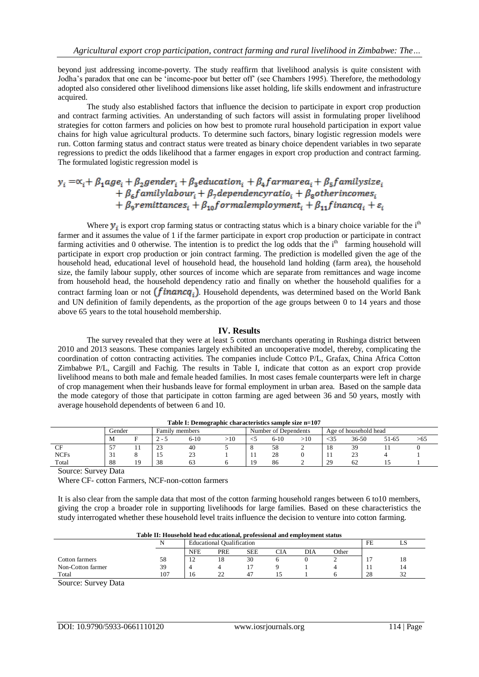beyond just addressing income-poverty. The study reaffirm that livelihood analysis is quite consistent with Jodha"s paradox that one can be "income-poor but better off" (see Chambers 1995). Therefore, the methodology adopted also considered other livelihood dimensions like asset holding, life skills endowment and infrastructure acquired.

The study also established factors that influence the decision to participate in export crop production and contract farming activities. An understanding of such factors will assist in formulating proper livelihood strategies for cotton farmers and policies on how best to promote rural household participation in export value chains for high value agricultural products. To determine such factors, binary logistic regression models were run. Cotton farming status and contract status were treated as binary choice dependent variables in two separate regressions to predict the odds likelihood that a farmer engages in export crop production and contract farming. The formulated logistic regression model is

# $y_i = \alpha_i + \beta_1 age_i + \beta_2 gender_i + \beta_3 education_i + \beta_4 farmarea_i + \beta_5 family size_i$  $+\ \beta_6 family labour_i + \beta_7 dependencey ratio_i + \beta_8 otherwise_i$ +  $\beta_9$ remittances<sub>i</sub> +  $\beta_{10}$ formalemployment<sub>i</sub> +  $\beta_{11}$ financ $q_i$  +  $\varepsilon_i$

Where  $y_i$  is export crop farming status or contracting status which is a binary choice variable for the i<sup>th</sup> farmer and it assumes the value of 1 if the farmer participate in export crop production or participate in contract farming activities and 0 otherwise. The intention is to predict the  $\log$  odds that the  $i<sup>th</sup>$  farming household will participate in export crop production or join contract farming. The prediction is modelled given the age of the household head, educational level of household head, the household land holding (farm area), the household size, the family labour supply, other sources of income which are separate from remittances and wage income from household head, the household dependency ratio and finally on whether the household qualifies for a contract farming loan or not  $(\text{fin} \text{anc} q_i)$ . Household dependents, was determined based on the World Bank and UN definition of family dependents, as the proportion of the age groups between 0 to 14 years and those above 65 years to the total household membership.

# **IV. Results**

The survey revealed that they were at least 5 cotton merchants operating in Rushinga district between 2010 and 2013 seasons. These companies largely exhibited an uncooperative model, thereby, complicating the coordination of cotton contracting activities. The companies include Cottco P/L, Grafax, China Africa Cotton Zimbabwe P/L, Cargill and Fachig. The results in Table I, indicate that cotton as an export crop provide livelihood means to both male and female headed families. In most cases female counterparts were left in charge of crop management when their husbands leave for formal employment in urban area. Based on the sample data the mode category of those that participate in cotton farming are aged between 36 and 50 years, mostly with average household dependents of between 6 and 10.

| Table 1: Demographic characteristics sample size n=10/ |        |     |        |                |     |  |                                               |  |     |               |       |     |
|--------------------------------------------------------|--------|-----|--------|----------------|-----|--|-----------------------------------------------|--|-----|---------------|-------|-----|
|                                                        | Gender |     |        | Family members |     |  | Number of Dependents<br>Age of household head |  |     |               |       |     |
|                                                        | M      |     | -2 - - | 6-10           | >10 |  | 6-10                                          |  | <35 | $36 - 50$     | 51-65 | 202 |
| CF                                                     |        | . . | 23     | 40             |     |  | 58                                            |  | 18  | 39            |       |     |
| <b>NCFs</b>                                            |        |     |        | ر ے            |     |  | $\cap$<br>28                                  |  |     | $\mathcal{L}$ |       |     |
| Total                                                  | 88     | 19  | 38     |                |     |  | 86                                            |  | 29  | 62            |       |     |

**Table I: Demographic characteristics sample size n=107**

Source: Survey Data

Where CF- cotton Farmers, NCF-non-cotton farmers

It is also clear from the sample data that most of the cotton farming household ranges between 6 to10 members, giving the crop a broader role in supporting livelihoods for large families. Based on these characteristics the study interrogated whether these household level traits influence the decision to venture into cotton farming.

|  |  | Table II: Household head educational, professional and employment status |
|--|--|--------------------------------------------------------------------------|
|--|--|--------------------------------------------------------------------------|

|                   |     |               | <b>Educational Qualification</b> |                |     |     |       |      | ചാ            |
|-------------------|-----|---------------|----------------------------------|----------------|-----|-----|-------|------|---------------|
|                   |     | <b>NFE</b>    | PRE                              | <b>SEE</b>     | CIA | DIA | Other |      |               |
| Cotton farmers    | 58  | $\sim$<br>. . | 10                               | 30             |     |     |       |      | 18            |
| Non-Cotton farmer | 39  |               |                                  |                |     |     |       | -1-1 | 14            |
| Total             | 107 | 10            | $\cap$                           | 4 <sup>7</sup> |     |     |       | 28   | $\sim$<br>ے ر |
|                   |     |               |                                  |                |     |     |       |      |               |

Source: Survey Data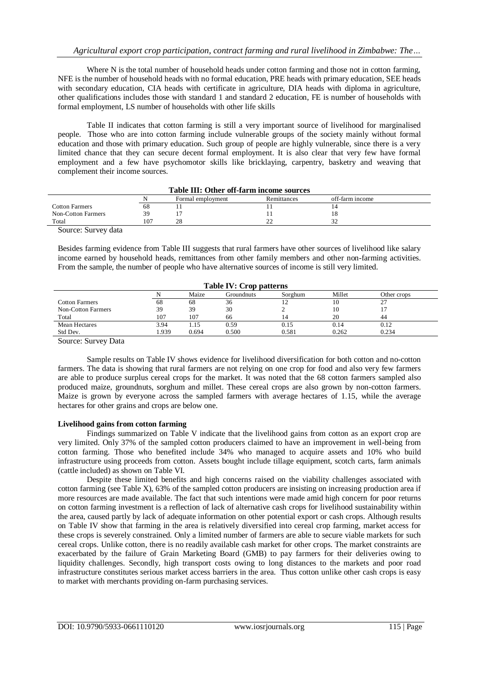Where N is the total number of household heads under cotton farming and those not in cotton farming, NFE is the number of household heads with no formal education, PRE heads with primary education, SEE heads with secondary education, CIA heads with certificate in agriculture, DIA heads with diploma in agriculture, other qualifications includes those with standard 1 and standard 2 education, FE is number of households with formal employment, LS number of households with other life skills

Table II indicates that cotton farming is still a very important source of livelihood for marginalised people. Those who are into cotton farming include vulnerable groups of the society mainly without formal education and those with primary education. Such group of people are highly vulnerable, since there is a very limited chance that they can secure decent formal employment. It is also clear that very few have formal employment and a few have psychomotor skills like bricklaying, carpentry, basketry and weaving that complement their income sources.

| Table III. Other 011-141 in medile sources |     |                   |             |                 |  |  |  |
|--------------------------------------------|-----|-------------------|-------------|-----------------|--|--|--|
|                                            |     | Formal employment | Remittances | off-farm income |  |  |  |
| <b>Cotton Farmers</b>                      | 68  |                   |             |                 |  |  |  |
| Non-Cotton Farmers                         |     |                   |             |                 |  |  |  |
| Total                                      | 07، | 28                | <u>_</u>    |                 |  |  |  |
| $\alpha$ $\alpha$ $\alpha$                 |     |                   |             |                 |  |  |  |

#### **Table III: Other off-farm income sources**

Source: Survey data

Besides farming evidence from Table III suggests that rural farmers have other sources of livelihood like salary income earned by household heads, remittances from other family members and other non-farming activities. From the sample, the number of people who have alternative sources of income is still very limited.

| <b>THE TABLE 17: CLOD DATE:</b> |      |       |            |         |        |             |  |  |
|---------------------------------|------|-------|------------|---------|--------|-------------|--|--|
|                                 |      | Maize | Groundnuts | Sorghum | Millet | Other crops |  |  |
| <b>Cotton Farmers</b>           | 68   | 68    | 36         |         |        | 27          |  |  |
| Non-Cotton Farmers              | 39   | 39    | 30         |         |        |             |  |  |
| Total                           | 107  | 107   | 66         |         | 20     | 44          |  |  |
| Mean Hectares                   | 3.94 | 1.15  | 0.59       | 0.15    | 0.14   | 0.12        |  |  |
| Std Dev.                        | .939 | 0.694 | 0.500      | 0.581   | 0.262  | 0.234       |  |  |

**Table IV: Crop patterns**

Source: Survey Data

Sample results on Table IV shows evidence for livelihood diversification for both cotton and no-cotton farmers. The data is showing that rural farmers are not relying on one crop for food and also very few farmers are able to produce surplus cereal crops for the market. It was noted that the 68 cotton farmers sampled also produced maize, groundnuts, sorghum and millet. These cereal crops are also grown by non-cotton farmers. Maize is grown by everyone across the sampled farmers with average hectares of 1.15, while the average hectares for other grains and crops are below one.

# **Livelihood gains from cotton farming**

Findings summarized on Table V indicate that the livelihood gains from cotton as an export crop are very limited. Only 37% of the sampled cotton producers claimed to have an improvement in well-being from cotton farming. Those who benefited include 34% who managed to acquire assets and 10% who build infrastructure using proceeds from cotton. Assets bought include tillage equipment, scotch carts, farm animals (cattle included) as shown on Table VI.

Despite these limited benefits and high concerns raised on the viability challenges associated with cotton farming (see Table X), 63% of the sampled cotton producers are insisting on increasing production area if more resources are made available. The fact that such intentions were made amid high concern for poor returns on cotton farming investment is a reflection of lack of alternative cash crops for livelihood sustainability within the area, caused partly by lack of adequate information on other potential export or cash crops. Although results on Table IV show that farming in the area is relatively diversified into cereal crop farming, market access for these crops is severely constrained. Only a limited number of farmers are able to secure viable markets for such cereal crops. Unlike cotton, there is no readily available cash market for other crops. The market constraints are exacerbated by the failure of Grain Marketing Board (GMB) to pay farmers for their deliveries owing to liquidity challenges. Secondly, high transport costs owing to long distances to the markets and poor road infrastructure constitutes serious market access barriers in the area. Thus cotton unlike other cash crops is easy to market with merchants providing on-farm purchasing services.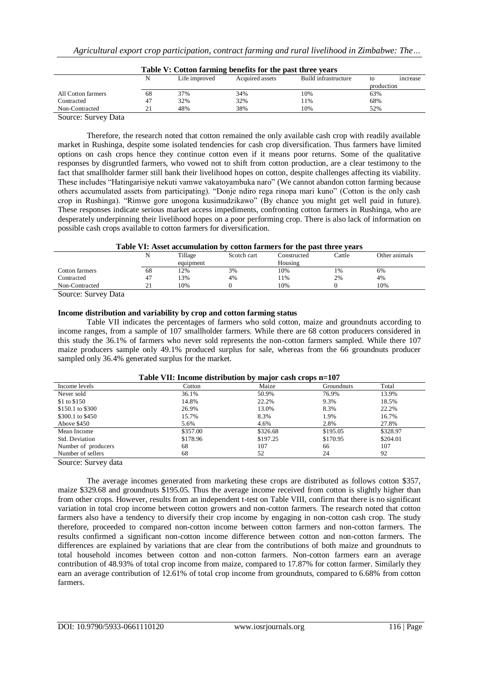| Table V: Cotton farming benefits for the past three years |    |               |                 |                      |            |                |  |  |
|-----------------------------------------------------------|----|---------------|-----------------|----------------------|------------|----------------|--|--|
|                                                           |    | Life improved | Acquired assets | Build infrastructure | to         | <i>ncrease</i> |  |  |
|                                                           |    |               |                 |                      | production |                |  |  |
| All Cotton farmers                                        | 68 | 37%           | 34%             | 10%                  | 63%        |                |  |  |
| Contracted                                                | 47 | 32%           | 32%             | 11%                  | 68%        |                |  |  |
| Non-Contracted                                            |    | 48%           | 38%             | 10%                  | 52%        |                |  |  |
| Course Course Date                                        |    |               |                 |                      |            |                |  |  |

**Table V: Cotton farming benefits for the past three years**

Source: Survey Data

Therefore, the research noted that cotton remained the only available cash crop with readily available market in Rushinga, despite some isolated tendencies for cash crop diversification. Thus farmers have limited options on cash crops hence they continue cotton even if it means poor returns. Some of the qualitative responses by disgruntled farmers, who vowed not to shift from cotton production, are a clear testimony to the fact that smallholder farmer still bank their livelihood hopes on cotton, despite challenges affecting its viability. These includes "Hatingarisiye nekuti vamwe vakatoyambuka naro" (We cannot abandon cotton farming because others accumulated assets from participating). "Donje ndiro rega rinopa mari kuno" (Cotton is the only cash crop in Rushinga). "Rimwe gore unogona kusimudzikawo" (By chance you might get well paid in future). These responses indicate serious market access impediments, confronting cotton farmers in Rushinga, who are desperately underpinning their livelihood hopes on a poor performing crop. There is also lack of information on possible cash crops available to cotton farmers for diversification.

#### **Table VI: Asset accumulation by cotton farmers for the past three years**

|                | N                  | Tillage   | Scotch cart | Constructed | Cattle | Other animals |
|----------------|--------------------|-----------|-------------|-------------|--------|---------------|
|                |                    | equipment |             | Housing     |        |               |
| Cotton farmers | 68                 | 12%       | 3%          | 10%         | $1\%$  | 6%            |
| Contracted     | 47                 | 13%       | 4%          | 11%         | 2%     | 4%            |
| Non-Contracted | $\sim$<br>$\sim$ 1 | 10%       |             | 10%         |        | 10%           |

Source: Survey Data

# **Income distribution and variability by crop and cotton farming status**

Table VII indicates the percentages of farmers who sold cotton, maize and groundnuts according to income ranges, from a sample of 107 smallholder farmers. While there are 68 cotton producers considered in this study the 36.1% of farmers who never sold represents the non-cotton farmers sampled. While there 107 maize producers sample only 49.1% produced surplus for sale, whereas from the 66 groundnuts producer sampled only 36.4% generated surplus for the market.

|                     |          | - - -    |                   |          |
|---------------------|----------|----------|-------------------|----------|
| Income levels       | Cotton   | Maize    | <b>Groundnuts</b> | Total    |
| Never sold          | 36.1%    | 50.9%    | 76.9%             | 13.9%    |
| \$1 to \$150        | 14.8%    | 22.2%    | 9.3%              | 18.5%    |
| \$150.1 to \$300    | 26.9%    | 13.0%    | 8.3%              | 22.2%    |
| \$300.1 to \$450    | 15.7%    | 8.3%     | 1.9%              | 16.7%    |
| Above \$450         | 5.6%     | 4.6%     | 2.8%              | 27.8%    |
| Mean Income         | \$357.00 | \$326.68 | \$195.05          | \$328.97 |
| Std. Deviation      | \$178.96 | \$197.25 | \$170.95          | \$204.01 |
| Number of producers | 68       | 107      | 66                | 107      |
| Number of sellers   | 68       | 52       | 24                | 92       |
|                     |          |          |                   |          |

# **Table VII: Income distribution by major cash crops n=107**

Source: Survey data

The average incomes generated from marketing these crops are distributed as follows cotton \$357, maize \$329.68 and groundnuts \$195.05. Thus the average income received from cotton is slightly higher than from other crops. However, results from an independent t-test on Table VIII, confirm that there is no significant variation in total crop income between cotton growers and non-cotton farmers. The research noted that cotton farmers also have a tendency to diversify their crop income by engaging in non-cotton cash crop. The study therefore, proceeded to compared non-cotton income between cotton farmers and non-cotton farmers. The results confirmed a significant non-cotton income difference between cotton and non-cotton farmers. The differences are explained by variations that are clear from the contributions of both maize and groundnuts to total household incomes between cotton and non-cotton farmers. Non-cotton farmers earn an average contribution of 48.93% of total crop income from maize, compared to 17.87% for cotton farmer. Similarly they earn an average contribution of 12.61% of total crop income from groundnuts, compared to 6.68% from cotton farmers.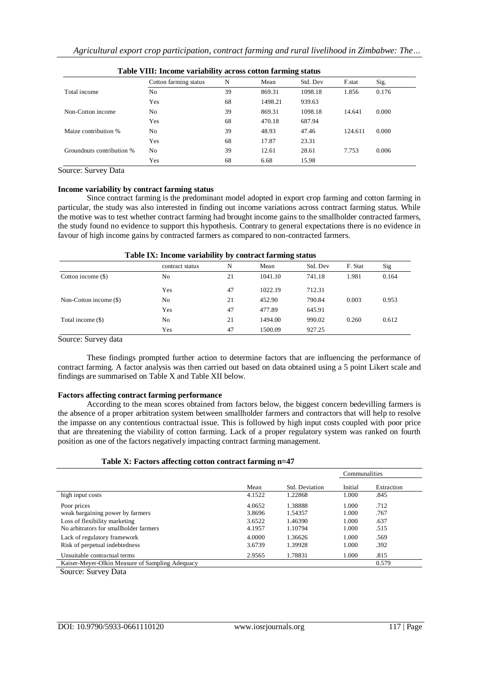| <b>Table VIII, Income variability across cotton farming status</b> |                       |    |         |          |         |       |  |  |
|--------------------------------------------------------------------|-----------------------|----|---------|----------|---------|-------|--|--|
|                                                                    | Cotton farming status | N  | Mean    | Std. Dev | F.stat  | Sig.  |  |  |
| Total income                                                       | No.                   | 39 | 869.31  | 1098.18  | 1.856   | 0.176 |  |  |
|                                                                    | Yes                   | 68 | 1498.21 | 939.63   |         |       |  |  |
| Non-Cotton income                                                  | No                    | 39 | 869.31  | 1098.18  | 14.641  | 0.000 |  |  |
|                                                                    | Yes                   | 68 | 470.18  | 687.94   |         |       |  |  |
| Maize contribution %                                               | No                    | 39 | 48.93   | 47.46    | 124.611 | 0.000 |  |  |
|                                                                    | Yes                   | 68 | 17.87   | 23.31    |         |       |  |  |
| Groundnuts contribution %                                          | No                    | 39 | 12.61   | 28.61    | 7.753   | 0.006 |  |  |
|                                                                    | Yes                   | 68 | 6.68    | 15.98    |         |       |  |  |

| Table VIII: Income variability across cotton farming status |  |  |  |  |  |  |  |
|-------------------------------------------------------------|--|--|--|--|--|--|--|
|-------------------------------------------------------------|--|--|--|--|--|--|--|

Source: Survey Data

#### **Income variability by contract farming status**

Since contract farming is the predominant model adopted in export crop farming and cotton farming in particular, the study was also interested in finding out income variations across contract farming status. While the motive was to test whether contract farming had brought income gains to the smallholder contracted farmers, the study found no evidence to support this hypothesis. Contrary to general expectations there is no evidence in favour of high income gains by contracted farmers as compared to non-contracted farmers.

# **Table IX: Income variability by contract farming status**

|                        | contract status | N  | Mean    | Std. Dev | F. Stat | Sig   |
|------------------------|-----------------|----|---------|----------|---------|-------|
| Cotton income (\$)     | N <sub>0</sub>  | 21 | 1041.10 | 741.18   | 1.981   | 0.164 |
|                        | Yes             | 47 | 1022.19 | 712.31   |         |       |
| Non-Cotton income (\$) | No              | 21 | 452.90  | 790.84   | 0.003   | 0.953 |
|                        | Yes             | 47 | 477.89  | 645.91   |         |       |
| Total income (\$)      | N <sub>0</sub>  | 21 | 1494.00 | 990.02   | 0.260   | 0.612 |
|                        | Yes             | 47 | 1500.09 | 927.25   |         |       |

Source: Survey data

These findings prompted further action to determine factors that are influencing the performance of contract farming. A factor analysis was then carried out based on data obtained using a 5 point Likert scale and findings are summarised on Table X and Table XII below.

# **Factors affecting contract farming performance**

According to the mean scores obtained from factors below, the biggest concern bedevilling farmers is the absence of a proper arbitration system between smallholder farmers and contractors that will help to resolve the impasse on any contentious contractual issue. This is followed by high input costs coupled with poor price that are threatening the viability of cotton farming. Lack of a proper regulatory system was ranked on fourth position as one of the factors negatively impacting contract farming management.

# **Table X: Factors affecting cotton contract farming n=47**

|                                                                         |                  |                    | Communalities  |              |
|-------------------------------------------------------------------------|------------------|--------------------|----------------|--------------|
|                                                                         | Mean             | Std. Deviation     | Initial        | Extraction   |
| high input costs                                                        | 4.1522           | 1.22868            | 1.000          | .845         |
| Poor prices<br>weak bargaining power by farmers                         | 4.0652<br>3.8696 | 1.38888<br>1.54357 | 1.000<br>1.000 | .712<br>.767 |
| Loss of flexibility marketing<br>No arbitrators for smallholder farmers | 3.6522<br>4.1957 | 1.46390<br>1.10794 | 1.000<br>1.000 | .637<br>.515 |
| Lack of regulatory framework<br>Risk of perpetual indebtedness          | 4.0000<br>3.6739 | 1.36626<br>1.39928 | 1.000<br>1.000 | .569<br>.392 |
| Unsuitable contractual terms                                            | 2.9565           | 1.78831            | 1.000          | .815         |
| Kaiser-Meyer-Olkin Measure of Sampling Adequacy                         |                  |                    |                | 0.579        |

Source: Survey Data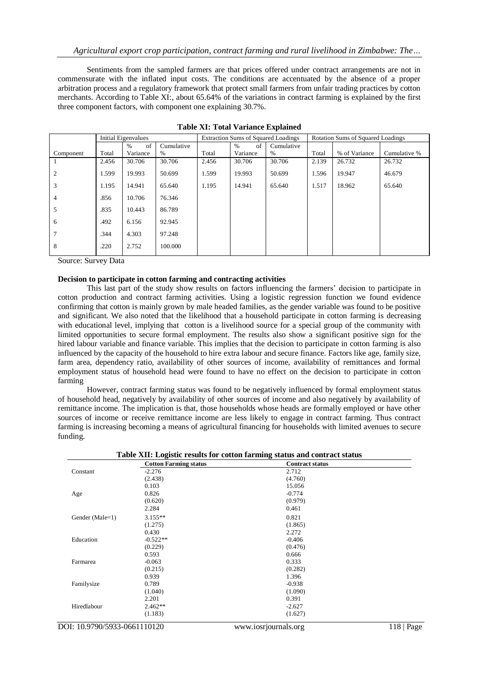Sentiments from the sampled farmers are that prices offered under contract arrangements are not in commensurate with the inflated input costs. The conditions are accentuated by the absence of a proper arbitration process and a regulatory framework that protect small farmers from unfair trading practices by cotton merchants. According to Table XI:, about 65.64% of the variations in contract farming is explained by the first three component factors, with component one explaining 30.7%.

|                | <b>Initial Eigenvalues</b> |            |            | Extraction Sums of Squared Loadings |            |            | <b>Rotation Sums of Squared Loadings</b> |               |              |
|----------------|----------------------------|------------|------------|-------------------------------------|------------|------------|------------------------------------------|---------------|--------------|
|                |                            | of<br>$\%$ | Cumulative |                                     | of<br>$\%$ | Cumulative |                                          |               |              |
| Component      | Total                      | Variance   | %          | Total                               | Variance   | %          | Total                                    | % of Variance | Cumulative % |
|                | 2.456                      | 30.706     | 30.706     | 2.456                               | 30.706     | 30.706     | 2.139                                    | 26.732        | 26.732       |
| 2              | 1.599                      | 19.993     | 50.699     | 1.599                               | 19.993     | 50.699     | 1.596                                    | 19.947        | 46.679       |
| 3              | 1.195                      | 14.941     | 65.640     | 1.195                               | 14.941     | 65.640     | 1.517                                    | 18.962        | 65.640       |
| $\overline{4}$ | .856                       | 10.706     | 76.346     |                                     |            |            |                                          |               |              |
| $\overline{5}$ | .835                       | 10.443     | 86.789     |                                     |            |            |                                          |               |              |
| 6              | .492                       | 6.156      | 92.945     |                                     |            |            |                                          |               |              |
| $\tau$         | .344                       | 4.303      | 97.248     |                                     |            |            |                                          |               |              |
| 8              | .220                       | 2.752      | 100.000    |                                     |            |            |                                          |               |              |

Source: Survey Data

#### **Decision to participate in cotton farming and contracting activities**

This last part of the study show results on factors influencing the farmers" decision to participate in cotton production and contract farming activities. Using a logistic regression function we found evidence confirming that cotton is mainly grown by male headed families, as the gender variable was found to be positive and significant. We also noted that the likelihood that a household participate in cotton farming is decreasing with educational level, implying that cotton is a livelihood source for a special group of the community with limited opportunities to secure formal employment. The results also show a significant positive sign for the hired labour variable and finance variable. This implies that the decision to participate in cotton farming is also influenced by the capacity of the household to hire extra labour and secure finance. Factors like age, family size, farm area, dependency ratio, availability of other sources of income, availability of remittances and formal employment status of household head were found to have no effect on the decision to participate in cotton farming

However, contract farming status was found to be negatively influenced by formal employment status of household head, negatively by availability of other sources of income and also negatively by availability of remittance income. The implication is that, those households whose heads are formally employed or have other sources of income or receive remittance income are less likely to engage in contract farming. Thus contract farming is increasing becoming a means of agricultural financing for households with limited avenues to secure funding.

|                 | <b>Cotton Farming status</b> | <b>Contract status</b> |  |
|-----------------|------------------------------|------------------------|--|
| Constant        | $-2.276$                     | 2.712                  |  |
|                 | (2.438)                      | (4.760)                |  |
|                 | 0.103                        | 15.056                 |  |
| Age             | 0.826                        | $-0.774$               |  |
|                 | (0.620)                      | (0.979)                |  |
|                 | 2.284                        | 0.461                  |  |
| Gender (Male=1) | $3.155**$                    | 0.821                  |  |
|                 | (1.275)                      | (1.865)                |  |
|                 | 0.430                        | 2.272                  |  |
| Education       | $-0.522**$                   | $-0.406$               |  |
|                 | (0.229)                      | (0.476)                |  |
|                 | 0.593                        | 0.666                  |  |
| Farmarea        | $-0.063$                     | 0.333                  |  |
|                 | (0.215)                      | (0.282)                |  |
|                 | 0.939                        | 1.396                  |  |
| Familysize      | 0.789                        | $-0.938$               |  |
|                 | (1.040)                      | (1.090)                |  |
|                 | 2.201                        | 0.391                  |  |
| Hiredlabour     | $2.462**$                    | $-2.627$               |  |
|                 | (1.183)                      | (1.627)                |  |

**Table XII: Logistic results for cotton farming status and contract status**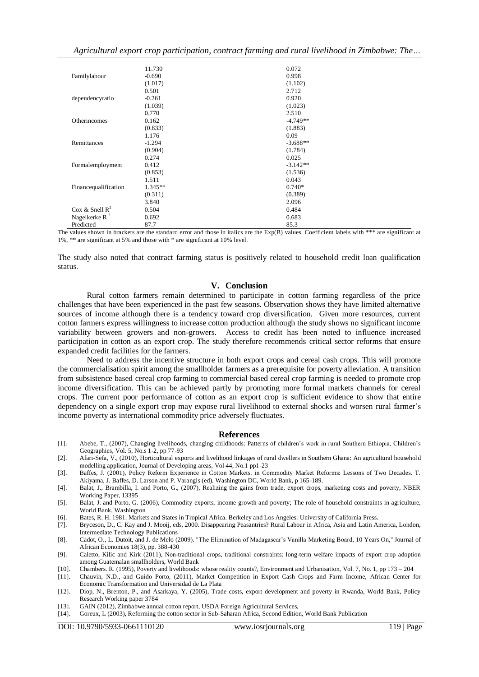*Agricultural export crop participation, contract farming and rural livelihood in Zimbabwe: The…*

|                      | 11.730    | 0.072      |
|----------------------|-----------|------------|
| Familylabour         | $-0.690$  | 0.998      |
|                      | (1.017)   | (1.102)    |
|                      | 0.501     | 2.712      |
| dependencyratio      | $-0.261$  | 0.920      |
|                      | (1.039)   | (1.023)    |
|                      | 0.770     | 2.510      |
| Otherincomes         | 0.162     | $-4.749**$ |
|                      | (0.833)   | (1.883)    |
|                      | 1.176     | 0.09       |
| Remittances          | $-1.294$  | $-3.688**$ |
|                      | (0.904)   | (1.784)    |
|                      | 0.274     | 0.025      |
| Formalemployment     | 0.412     | $-3.142**$ |
|                      | (0.853)   | (1.536)    |
|                      | 1.511     | 0.043      |
| Financequalification | $1.345**$ | $0.740*$   |
|                      | (0.311)   | (0.389)    |
|                      | 3.840     | 2.096      |
| Cox & Snell $R^2$    | 0.504     | 0.484      |
| Nagelkerke R $2$     | 0.692     | 0.683      |
| Predicted            | 87.7      | 85.3       |

The values shown in brackets are the standard error and those in italics are the  $Exp(B)$  values. Coefficient labels with \*\*\* are significant at 1%, \*\* are significant at 5% and those with \* are significant at 10% level.

The study also noted that contract farming status is positively related to household credit loan qualification status.

# **V. Conclusion**

Rural cotton farmers remain determined to participate in cotton farming regardless of the price challenges that have been experienced in the past few seasons. Observation shows they have limited alternative sources of income although there is a tendency toward crop diversification. Given more resources, current cotton farmers express willingness to increase cotton production although the study shows no significant income variability between growers and non-growers. Access to credit has been noted to influence increased participation in cotton as an export crop. The study therefore recommends critical sector reforms that ensure expanded credit facilities for the farmers.

Need to address the incentive structure in both export crops and cereal cash crops. This will promote the commercialisation spirit among the smallholder farmers as a prerequisite for poverty alleviation. A transition from subsistence based cereal crop farming to commercial based cereal crop farming is needed to promote crop income diversification. This can be achieved partly by promoting more formal markets channels for cereal crops. The current poor performance of cotton as an export crop is sufficient evidence to show that entire dependency on a single export crop may expose rural livelihood to external shocks and worsen rural farmer"s income poverty as international commodity price adversely fluctuates.

#### **References**

- [1]. Abebe, T., (2007), Changing livelihoods, changing childhoods: Patterns of children"s work in rural Southern Ethiopia, Children"s Geographies, Vol. 5, No.s 1-2, pp 77-93
- [2]. Afari-Sefa, V., (2010), Horticultural exports and livelihood linkages of rural dwellers in Southern Ghana: An agricultural household modelling application, Journal of Developing areas, Vol 44, No.1 pp1-23
- [3]. Baffes, J. (2001), Policy Reform Experience in Cotton Markets. in Commodity Market Reforms: Lessons of Two Decades. T. Akiyama, J. Baffes, D. Larson and P. Varangis (ed). Washington DC, World Bank, p 165-189.
- [4]. Balat, J., Brambilla, I. and Porto, G., (2007), Realizing the gains from trade, export crops, marketing costs and poverty, NBER Working Paper, 13395
- [5]. Balat, J. and Porto, G. (2006), Commodity exports, income growth and poverty; The role of household constraints in agriculture, World Bank, Washington
- [6]. Bates, R. H. 1981. Markets and States in Tropical Africa. Berkeley and Los Angeles: University of California Press.
- [7]. Bryceson, D., C. Kay and J. Mooij, eds, 2000. Disappearing Peasantries? Rural Labour in Africa, Asia and Latin America, London, Intermediate Technology Publications
- [8]. Cadot, O., L. Dutoit, and J. de Melo (2009). ["The Elimination of Madagascar"s Vanilla Marketing Board, 10 Years On,](http://econpapers.repec.org/RePEc:oup:jafrec:v:18:y:2009:i:3:p:388-430)'' Journal of African Economies 18(3), pp. 388-430
- [9]. Caletto, Kilic and Kirk (2011), Non-traditional crops, traditional constraints: long-term welfare impacts of export crop adoption among Guatemalan smallholders, World Bank
- [10]. Chambers. R. (1995), Poverty and livelihoods: whose reality counts?, Environment and Urbanisation, Vol. 7, No. 1, pp 173 204
- [11]. Chauvin, N.D., and Guido Porto, (2011), Market Competition in Export Cash Crops and Farm Income, African Center for Economic Transformation and Universidad de La Plata
- [12]. Diop, N., Brenton, P., and Asarkaya, Y. (2005), Trade costs, export development and poverty in Rwanda, World Bank, Policy Research Working paper 3784
- [13]. GAIN (2012), Zimbabwe annual cotton report, USDA Foreign Agricultural Services, [14]. Goreux, L (2003), Reforming the cotton sector in Sub-Saharan Africa, Second Editio
- [14]. Goreux, L (2003), Reforming the cotton sector in Sub-Saharan Africa, Second Edition, World Bank Publication